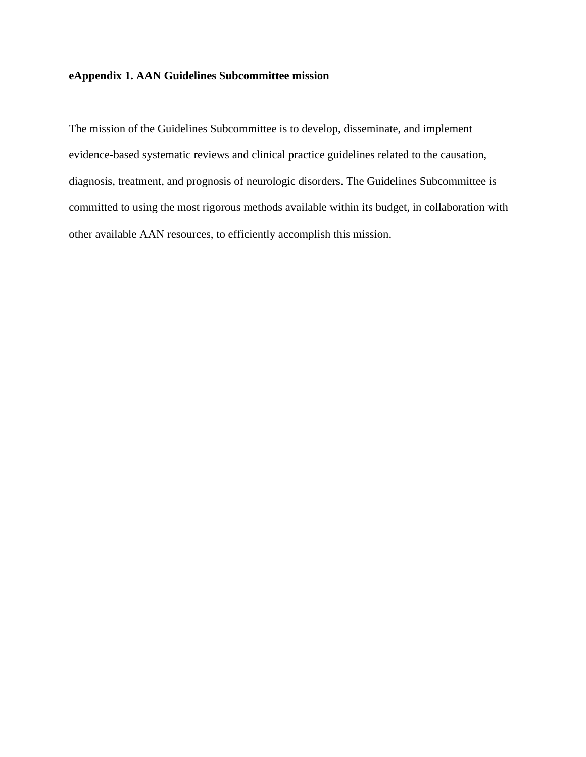## **eAppendix 1. AAN Guidelines Subcommittee mission**

The mission of the Guidelines Subcommittee is to develop, disseminate, and implement evidence-based systematic reviews and clinical practice guidelines related to the causation, diagnosis, treatment, and prognosis of neurologic disorders. The Guidelines Subcommittee is committed to using the most rigorous methods available within its budget, in collaboration with other available AAN resources, to efficiently accomplish this mission.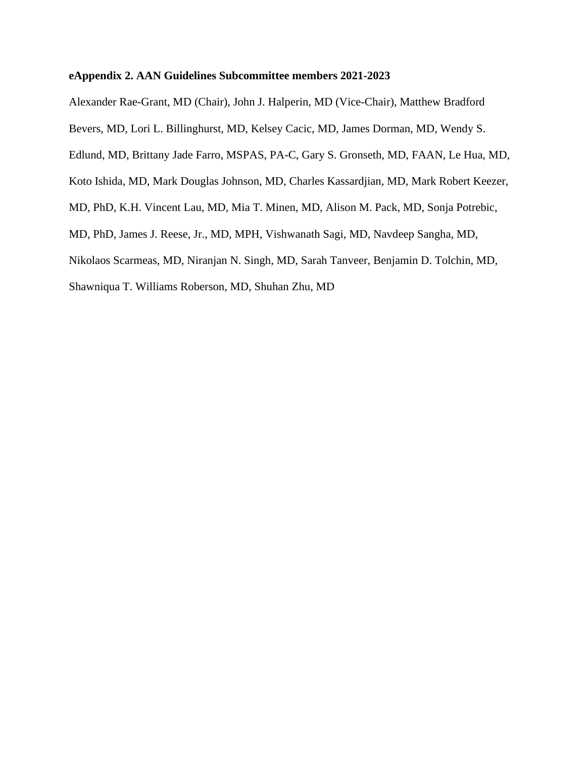## **eAppendix 2. AAN Guidelines Subcommittee members 2021-2023**

Alexander Rae-Grant, MD (Chair), John J. Halperin, MD (Vice-Chair), Matthew Bradford

Bevers, MD, Lori L. Billinghurst, MD, Kelsey Cacic, MD, James Dorman, MD, Wendy S.

Edlund, MD, Brittany Jade Farro, MSPAS, PA-C, Gary S. Gronseth, MD, FAAN, Le Hua, MD,

Koto Ishida, MD, Mark Douglas Johnson, MD, Charles Kassardjian, MD, Mark Robert Keezer,

MD, PhD, K.H. Vincent Lau, MD, Mia T. Minen, MD, Alison M. Pack, MD, Sonja Potrebic,

MD, PhD, James J. Reese, Jr., MD, MPH, Vishwanath Sagi, MD, Navdeep Sangha, MD,

Nikolaos Scarmeas, MD, Niranjan N. Singh, MD, Sarah Tanveer, Benjamin D. Tolchin, MD,

Shawniqua T. Williams Roberson, MD, Shuhan Zhu, MD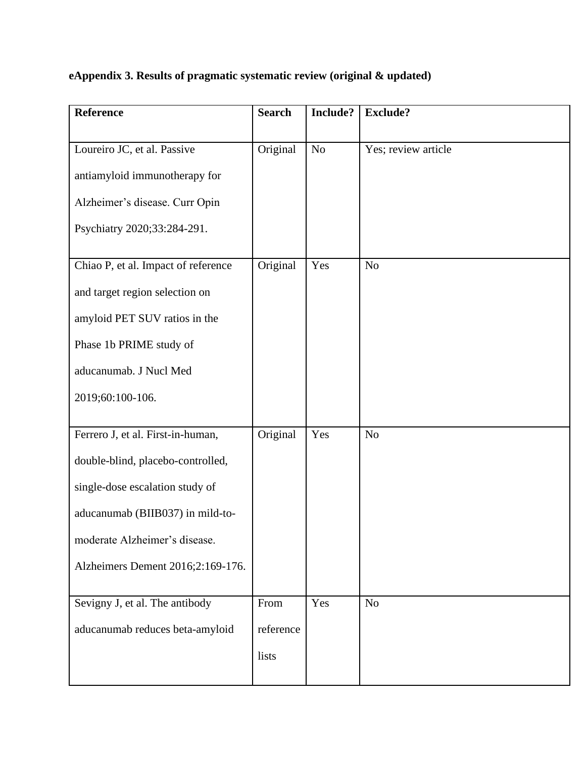|  | eAppendix 3. Results of pragmatic systematic review (original & updated) |
|--|--------------------------------------------------------------------------|
|  |                                                                          |
|  |                                                                          |

| <b>Reference</b>                    | <b>Search</b> | Include?       | <b>Exclude?</b>     |
|-------------------------------------|---------------|----------------|---------------------|
| Loureiro JC, et al. Passive         | Original      | N <sub>o</sub> | Yes; review article |
|                                     |               |                |                     |
| antiamyloid immunotherapy for       |               |                |                     |
| Alzheimer's disease. Curr Opin      |               |                |                     |
| Psychiatry 2020;33:284-291.         |               |                |                     |
| Chiao P, et al. Impact of reference | Original      | Yes            | N <sub>o</sub>      |
| and target region selection on      |               |                |                     |
| amyloid PET SUV ratios in the       |               |                |                     |
|                                     |               |                |                     |
| Phase 1b PRIME study of             |               |                |                     |
| aducanumab. J Nucl Med              |               |                |                     |
| 2019;60:100-106.                    |               |                |                     |
| Ferrero J, et al. First-in-human,   | Original      | Yes            | N <sub>o</sub>      |
|                                     |               |                |                     |
| double-blind, placebo-controlled,   |               |                |                     |
| single-dose escalation study of     |               |                |                     |
| aducanumab (BIIB037) in mild-to-    |               |                |                     |
| moderate Alzheimer's disease.       |               |                |                     |
| Alzheimers Dement 2016;2:169-176.   |               |                |                     |
|                                     |               |                |                     |
| Sevigny J, et al. The antibody      | From          | Yes            | N <sub>o</sub>      |
| aducanumab reduces beta-amyloid     | reference     |                |                     |
|                                     | lists         |                |                     |
|                                     |               |                |                     |